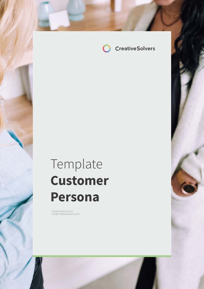

# Template **Customer Persona**

creatives of the international creatives of the international creatives of the international creatives of the

creativesolvers.com info@creativesolvers.com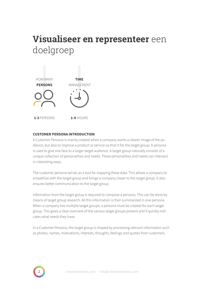## **Visualiseer en representeer** een doelgroep



### **CUSTOMER PERSONA INTRODUCTION**

A Customer Persona is mainly created when a company wants a clearer image of the audience, but also to improve a product or service so that it fits the target group. A persona is used to give one face to a larger target audience. A target group naturally consists of a unique collection of personalities and needs. These personalities and needs can intersect in interesting ways.

The customer persona serves as a tool for mapping these data. This allows a company to empathize with the target group and brings a company closer to the target group. It also ensures better communication to the target group.

Information from the target group is required to compose a persona. This can be done by means of target group research. All this information is then summarized in one persona. When a company has multiple target groups, a persona must be created for each target group. This gives a clear overview of the various target groups present and it quickly indicates what needs they have.

In a Customer Persona, the target group is shaped by processing relevant information such as photos, names, motivations, interests, thoughts, feelings and quotes from customers.

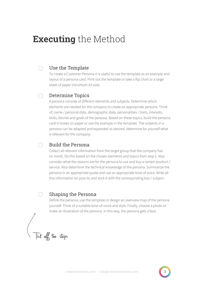## **Executing** the Method

#### Use the Template ∩

To create a Customer Persona it is useful to use the template as an example and layout of a persona card. Print out the template or take a flip chart or a large sheet of paper (minimum A3 size).

#### Determine Topics  $\bigcap$

A persona consists of different elements and subjects. Determine which elements are needed for the company to create an appropriate persona. Think of; name / personal data, demographic data, personalities / traits, interests, skills, desires and goals of the persona. Based on these topics, build the persona card in boxes on paper or use the example in the template. The subjects in a persona can be adapted and expanded as desired, determine for yourself what is relevant for the company.

### Build the Persona

Collect all relevant information from the target group that the company has (in mind). Do this based on the chosen elements and topics from step 2. Also consider what the reasons are for the persona to use and buy a certain product / service. Also determine the technical knowledge of the persona. Summarize the persona in an appropriate quote and use an appropriate tone of voice. Write all this information on post-its and stick it with the corresponding box / subject.

#### Shaping the Persona ∩

Define the persona, use the template or design an overview map of the persona yourself. Think of a suitable tone-of-voice and style. Finally, choose a photo or make an illustration of the persona. In this way, the persona gets a face.

Tick off the steps